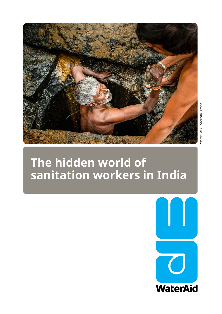

# **The hidden world of sanitation workers in India**

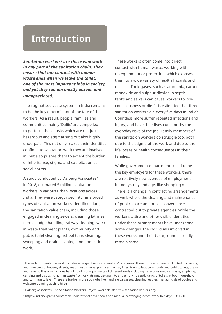## **Introduction**

*Sanitation workers1 are those who work in any part of the sanitation chain. They ensure that our contact with human waste ends when we leave the toilet, one of the most important jobs in society, and yet they remain mostly unseen and unappreciated.* 

The stigmatised caste system in India remains to be the key determinant of the fate of these workers. As a result, people, families and communities mainly 'Dalits' are compelled to perform these tasks which are not just hazardous and stigmatising but also highly underpaid. This not only makes their identities confined to sanitation work they are involved in, but also pushes them to accept the burden of inheritance, stigma and exploitation as social norms.

A study conducted by Dalberg Associates<sup>2</sup> in 2018, estimated 5 million sanitation workers in various urban locations across India. They were categorised into nine broad types of sanitation workers identified along the sanitation value chain, including those engaged in cleaning sewers, cleaning latrines, faecal sludge handling, railway cleaning, work in waste treatment plants, community and public toilet cleaning, school toilet cleaning, sweeping and drain cleaning, and domestic work.

These workers often come into direct contact with human waste, working with no equipment or protection, which exposes them to a wide variety of health hazards and disease. Toxic gases, such as ammonia, carbon monoxide and sulphur dioxide in septic tanks and sewers can cause workers to lose consciousness or die. It is estimated that three sanitation workers die every five days in India<sup>3</sup>. Countless more suffer repeated infections and injury, and have their lives cut short by the everyday risks of the job. Family members of the sanitation workers do struggle too, both due to the stigma of the work and due to the life losses or health consequences in their families.

While government departments used to be the key employers for these workers, there are relatively new avenues of employment in today's day and age, like shopping malls. There is a change in contracting arrangements as well, where the cleaning and maintenance of public space and public conveniences is contracted out to private agencies. While the worker's attire and other visible identities under these arrangements have undergone some changes, the individuals involved in these works and their backgrounds broadly remain same.

<sup>1</sup> The ambit of sanitation work includes a range of work and workers' categories. These include but are not limited to cleaning and sweeping of houses, streets, roads, institutional premises, railway lines, train toilets, community and public toilets, drains and sewers. This also includes handling of municipal waste of different kinds including hazardous medical waste; emptying, carrying and disposing human waste from dry latrines; getting into and emptying septic tanks of toilets at both household and community level. There are further more such jobs like handling carcasses, cleaning leather, managing dead bodies and welcome cleaning at child birth.

<sup>&</sup>lt;sup>2</sup> Dalberg Associates. The Sanitation Workers Project. Available at: http://sanitationworkers.org/

<sup>3</sup> https://indianexpress.com/article/india/official-data-shows-one-manual-scavenging-death-every-five-days-5361531/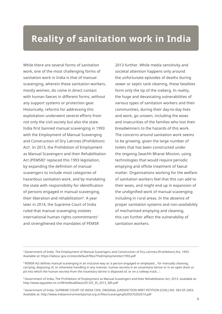## **Reality of sanitation work in India**

While there are several forms of sanitation work, one of the most challenging forms of sanitation work in India is that of manual scavenging, wherein these sanitation workers, mostly women, do come in direct contact with human faeces in different forms, without any support systems or protection gear. Historically, reforms for addressing this exploitation underwent several efforts from not only the civil society but also the state. India first banned manual scavenging in 1993 with the Employment of Manual Scavenging and Construction of Dry Latrines (Prohibition) Act4. In 2013, the Prohibition of Employment as Manual Scavengers and their Rehabilitation Act (PEMSR)<sup>5</sup> replaced this 1993 legislation, by expanding the definition of manual scavengers to include most categories of hazardous sanitation work, and by mandating the state with responsibility for identification of persons engaged in manual scavenging, their liberation and rehabilitation<sup>6</sup>. A year later in 2014, the Supreme Court of India ruled that manual scavenging violates international human rights commitments<sup>7</sup> and strengthened the mandates of PEMSR

2013 further. While media sensitivity and societal attention happens only around the unfortunate episodes of deaths during sewer or septic tank cleaning, these fatalities form only the tip of the iceberg. In reality, the huge and devastating vulnerabilities of various types of sanitation workers and their communities, during their day-to-day lives and work, go unseen, including the woes and insecurities of the families who lost their breadwinners to the hazards of this work. The concerns around sanitation work seems to be growing, given the large number of toilets that has been constructed under the ongoing Swachh Bharat Mission, using technologies that would require periodic emptying and offsite treatment of faecal matter. Organisations working for the welfare of sanitation workers feel that this can add to their woes, and might end up in expansion of the undignified work of manual scavenging including in rural areas. In the absence of proper sanitation systems and non-availability of mechanised emptying and cleaning, this can further affect the vulnerability of sanitation workers.

<sup>4</sup>Government of India. The Employment of Manual Scavengers and Construction of Dry Latrines (Prohibition) Act, 1993. Available at: https://labour.gov.in/sites/default/files/TheEmploymentAct1993.pdf

<sup>5</sup>PEMSR Act defines manual scavenging in an inclusive way as 'a person engaged or employed... for manually cleaning, carrying, disposing of, or otherwise handling in any manner, human excreta in an unsanitary latrine or in an open drain or pit into which the human excreta from the insanitary latrine is disposed of, or on a railway track...'.

6 Government of India. The Prohibition of Employment as Manual Scavengers and their Rehabilitation Act, 2013. Available at: http://www.egazette.nic.in/WriteReadData/2013/E\_35\_2013\_385.pdf

<sup>7</sup>Government of India. SUPREME COURT OF INDIA CIVIL ORIGINAL JURISDICTION WRIT PETITION (CIVIL) NO. 583 OF 2003. Available at: http://www.indiaenvironmentportal.org.in/files/scavenging%20SC%202014.pdf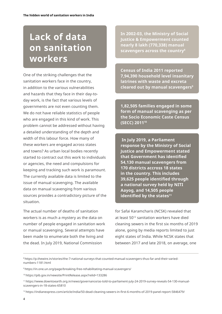# **Lack of data on sanitation workers**

One of the striking challenges that the sanitation workers face in the country, in addition to the various vulnerabilities and hazards that they face in their day-today work, is the fact that various levels of governments are not even counting them. We do not have reliable statistics of people who are engaged in this kind of work. This problem cannot be addressed without having a detailed understanding of the depth and width of this labour force. How many of these workers are engaged across states and towns? As urban local bodies recently started to contract out this work to individuals or agencies, the need and compulsions for keeping and tracking such work is paramount. The currently available data is limited to the issue of manual scavenging. The available data on manual scavenging from various sources provides a contradictory picture of the situation.

The actual number of deaths of sanitation workers is as much a mystery as the data on number of people engaged in sanitation work or manual scavenging. Several attempts have been made to enumerate both the living and the dead. In July 2019, National Commission

**In 2002-03, the Ministry of Social Justice & Empowerment counted nearly 8 lakh (770,338) manual scavengers across the country8**

**Census of India 2011 reported 7,94,390 household level insanitary latrines with waste and excreta cleared out by manual scavengers9**

**1,82,505 families engaged in some form of manual scavenging as per the Socio Economic Caste Census (SECC) 201110** 

 **In July 2019, a Parliament response by the Ministry of Social Justice and Empowerment stated that Government has identified 54,130 manual scavengers from 170 districts accross 18 states in the country. This includes 39,625 people identified through a national survey held by NITI Aayog, and 14,505 people identified by the states<sup>11</sup>**

for Safai Karamcharis (NCSK) revealed that at least 5012 sanitation workers have died cleaning sewers in the first six months of 2019 alone, going by media reports limited to just eight states of India. While NCSK states that between 2017 and late 2018, on average, one

<sup>8</sup> https://p.thewire.in/stories/the-7-national-surveys-that-counted-manual-scavengers-thus-far-and-their-variednumbers-1181.html

<sup>9</sup> https://in.one.un.org/page/breaking-free-rehabilitating-manual-scavengers/

<sup>10</sup>https://pib.gov.in/newsite/PrintRelease.aspx?relid=133286

<sup>11</sup> https://www.downtoearth.org.in/news/governance/as-told-to-parliament-july-24-2019-survey-reveals-54-130-manualscavengers-in-18-states-65810

<sup>12</sup>https://indianexpress.com/article/india/50-dead-cleaning-sewers-in-first-6-months-of-2019-panel-report-5846479/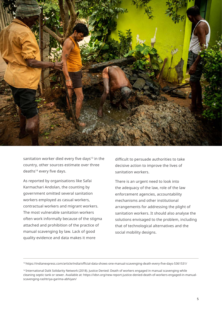

sanitation worker died every five days<sup>13</sup> in the country, other sources estimate over three deaths<sup>14</sup> every five days.

As reported by organisations like Safai Karmachari Andolan, the counting by government omitted several sanitation workers employed as casual workers, contractual workers and migrant workers. The most vulnerable sanitation workers often work informally because of the stigma attached and prohibition of the practice of manual scavenging by law. Lack of good quality evidence and data makes it more

difficult to persuade authorities to take decisive action to improve the lives of sanitation workers.

There is an urgent need to look into the adequacy of the law, role of the law enforcement agencies, accountability mechanisms and other institutional arrangements for addressing the plight of sanitation workers. It should also analyse the solutions envisaged to the problem, including that of technological alternatives and the social mobility designs.

<sup>13</sup>https://indianexpress.com/article/india/official-data-shows-one-manual-scavenging-death-every-five-days-5361531/

<sup>&</sup>lt;sup>14</sup>International Dalit Solidarity Network (2018). Justice Denied: Death of workers engaged in manual scavenging while cleaning septic tank or sewer. Available at: https://idsn.org/new-report-justice-denied-death-of-workers-engaged-in-manualscavenging-rashtriya-garima-abhiyan/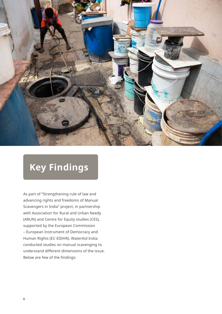

# **Key Findings**

As part of "Strengthening rule of law and advancing rights and freedoms of Manual Scavengers in India" project, in partnership with Association for Rural and Urban Needy (ARUN) and Centre for Equity studies (CES), supported by the European Commission – European Instrument of Democracy and Human Rights (EC-EIDHR), WaterAid India conducted studies on manual scavenging to understand different dimensions of the issue. Below are few of the findings: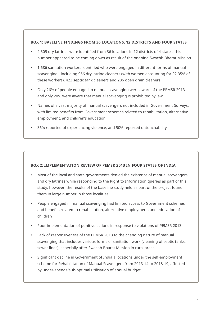#### **BOX 1: BASELINE FINDINGS FROM 36 LOCATIONS, 12 DISTRICTS AND FOUR STATES**

- 2,505 dry latrines were identified from 36 locations in 12 districts of 4 states, this number appeared to be coming down as result of the ongoing Swachh Bharat Mission
- 1,686 sanitation workers identified who were engaged in different forms of manual scavenging - including 956 dry latrine cleaners (with women accounting for 92.35% of these workers), 423 septic tank cleaners and 286 open drain cleaners
- Only 26% of people engaged in manual scavenging were aware of the PEMSR 2013, and only 20% were aware that manual scavenging is prohibited by law
- Names of a vast majority of manual scavengers not included in Government Surveys, with limited benefits from Government schemes related to rehabilitation, alternative employment, and children's education
- 36% reported of experiencing violence, and 50% reported untouchability

#### **BOX 2: IMPLEMENTATION REVIEW OF PEMSR 2013 IN FOUR STATES OF INDIA**

- Most of the local and state governments denied the existence of manual scavengers and dry latrines while responding to the Right to Information queries as part of this study, however, the results of the baseline study held as part of the project found them in large number in those localities
- People engaged in manual scavenging had limited access to Government schemes and benefits related to rehabilitation, alternative employment, and education of children
- Poor implementation of punitive actions in response to violations of PEMSR 2013
- Lack of responsiveness of the PEMSR 2013 to the changing nature of manual scavenging that includes various forms of sanitation work (cleaning of septic tanks, sewer lines), especially after Swachh Bharat Mission in rural areas
- Significant decline in Government of India allocations under the self-employment scheme for Rehabilitation of Manual Scavengers from 2013-14 to 2018-19, affected by under-spends/sub-optimal utilisation of annual budget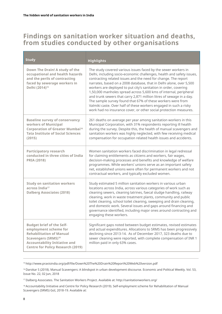### **Findings on sanitation worker situation and deaths, from studies conducted by other organisations**

| <b>Study</b>                                                                                                                                                                                                        | <b>Highlights</b>                                                                                                                                                                                                                                                                                                                                                                                                                                                                                                                                                                                                                                                                                          |
|---------------------------------------------------------------------------------------------------------------------------------------------------------------------------------------------------------------------|------------------------------------------------------------------------------------------------------------------------------------------------------------------------------------------------------------------------------------------------------------------------------------------------------------------------------------------------------------------------------------------------------------------------------------------------------------------------------------------------------------------------------------------------------------------------------------------------------------------------------------------------------------------------------------------------------------|
| Down The Drain! A study of the<br>occupational and health hazards<br>and the perils of contracting<br>faced by sewerage workers in<br>Delhi (2014) <sup>15</sup>                                                    | The study covered various issues faced by the sewer workers in<br>Delhi, including socio-economic challenges, health and safety issues,<br>contracting related issues and the need for change. The report<br>narrates, based on a 2008 database, that in Delhi alone, over 5,500<br>workers are deployed to put city's sanitation in order, covering<br>1,50,000 manholes spread across 5,600 kms of internal, peripheral<br>and trunk sewers that carry 2,871 million litres of sewage in a day.<br>The sample survey found that 67% of these workers were from<br>Valmiki caste. Over half of these workers engaged in such a risky<br>work had no insurance cover, or other social protection measures. |
| <b>Baseline survey of conservancy</b><br>workers of Municipal<br><b>Corporation of Greater Mumbai<sup>16</sup></b><br><b>Tata Institute of Social Sciences</b><br>(2015)                                            | 261 deaths on average per year among sanitation workers in this<br>Municipal Corporation, with 31% respondents reporting ill health<br>during the survey. Despite this, the health of manual scavengers and<br>sanitation workers was highly neglected, with few receiving medical<br>compensation for occupation related health issues and accidents.                                                                                                                                                                                                                                                                                                                                                     |
| <b>Participatory research</b><br>conducted in three cities of India<br><b>PRIA (2018)</b>                                                                                                                           | Women sanitation workers faced discrimination in legal redressal<br>for claiming entitlements as citizens and workers, fair wages,<br>decision-making processes and benefits and knowledge of welfare<br>programmes. While workers' unions serve as an important safety<br>net, established unions were often for permanent workers and not<br>contractual workers, and typically excluded women.                                                                                                                                                                                                                                                                                                          |
| <b>Study on sanitation workers</b><br>across India <sup>17</sup><br><b>Dalberg Associates (2018)</b>                                                                                                                | Study estimated 5 million sanitation workers in various urban<br>locations across India, across various categories of work such as<br>cleaning sewers, cleaning latrines, faecal sludge handling, railway<br>cleaning, work in waste treatment plants, community and public<br>toilet cleaning, school toilet cleaning, sweeping and drain cleaning,<br>and domestic work. Several issues and gaps around financing and<br>governance identified, including major ones around contracting and<br>engaging these workers.                                                                                                                                                                                   |
| <b>Budget brief of the Self-</b><br>employment scheme for<br><b>Rehabilitation of Manual</b><br>Scavengers (SRMS) <sup>18</sup><br><b>Accountability Initiative and</b><br><b>Centre for Policy Research (2019)</b> | Significant gaps noted between budget estimates, revised estimates<br>and actual expenditures. Allocations to SRMS has been progressively<br>declining since 2013-14. As of December 2017, 323 deaths due to<br>sewer cleaning were reported, with complete compensation of INR 1<br>million paid in only 63% cases.                                                                                                                                                                                                                                                                                                                                                                                       |

<sup>15</sup>http://www.praxisindia.org/pdf/file/Down%20The%20Drain%20Report%20Web%20version.pdf

<sup>17</sup>Dalberg Associates. The Sanitation Workers Project. Available at: http://sanitationworkers.org/

<sup>16</sup> Darokar S (2018). Manual Scavengers: A blindspot in urban development discourse. Economic and Political Weekly. Vol. 53, Issue No. 22, 02 Jun, 2018

<sup>18</sup> Accountability Initiative and Centre for Policy Research (2019). Self-employment scheme for Rehabilitation of Manual Scavengers (SRMS) GoI, 2018-19. Available at: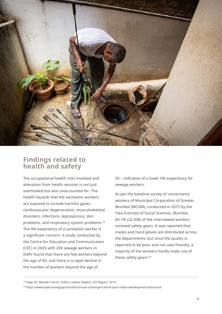

### **Findings related to health and safety**

The occupational health risks involved and alienation from health services is not just overlooked but also unaccounted for. The health hazards that the sanitation workers are exposed to include harmful gases, cardiovascular degeneration, musculoskeletal disorders, infections, leptospirosis, skin problems, and respiratory system problems.<sup>19</sup> The life expectancy of a sanitation worker is a significant concern. A study conducted by the Centre for Education and Communication (CEC) in 2005 with 200 sewage workers in Delhi found that there are few workers beyond the age of 60, and there is a rapid decline in the number of workers beyond the age of

50 – indicative of a lower life expectancy for sewage workers.

As per the baseline survey of conservancy workers of Municipal Corporation of Greater Mumbai (MCGM), conducted in 2015 by the Tata Institute of Social Sciences, Mumbai, 69.1% (22,508) of the interviewed workers received safety gears. It was reported that masks and hand gloves are distributed across the departments; but since the quality is reported to be poor and not user-friendly, a majority of the workers hardly make use of these safety gears.<sup>20</sup>

19 Page 45, Mander Harsh, India's Lowest Depths, ILO Report, 2019

<sup>20</sup> https://www.epw.in/engage/article/manual-scavengers-blind-spot-urban-development-discourse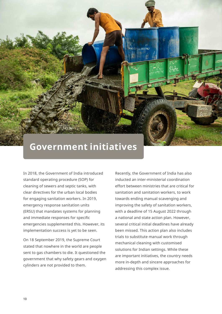## **Government initiatives**

In 2018, the Government of India introduced standard operating procedure (SOP) for cleaning of sewers and septic tanks, with clear directives for the urban local bodies for engaging sanitation workers. In 2019, emergency response sanitation units (ERSU) that mandates systems for planning and immediate responses for specific emergencies supplemented this. However, its implementation success is yet to be seen.

**The hidden world of sanitation workers in India** 

On 18 September 2019, the Supreme Court stated that nowhere in the world are people sent to gas chambers to die. It questioned the government that why safety gears and oxygen cylinders are not provided to them.

Recently, the Government of India has also inducted an inter-ministerial coordination effort between ministries that are critical for sanitation and sanitation workers, to work towards ending manual scavenging and improving the safety of sanitation workers, with a deadline of 15 August 2022 through a national and state action plan. However, several critical initial deadlines have already been missed. This action plan also includes trials to substitute manual work through mechanical cleaning with customised solutions for Indian settings. While these are important initiatives, the country needs more in-depth and sincere approaches for addressing this complex issue.

**ICE ONLY**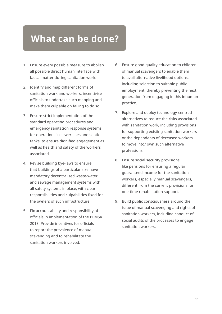## **What can be done?**

- 1. Ensure every possible measure to abolish all possible direct human interface with faecal matter during sanitation work.
- 2. Identify and map different forms of sanitation work and workers; incentivise officials to undertake such mapping and make them culpable on failing to do so.
- 3. Ensure strict implementation of the standard operating procedures and emergency sanitation response systems for operations in sewer lines and septic tanks, to ensure dignified engagement as well as health and safety of the workers associated.
- 4. Revise building bye-laws to ensure that buildings of a particular size have mandatory decentralised waste-water and sewage management systems with all safety systems in place, with clear responsibilities and culpabilities fixed for the owners of such infrastructure.
- 5. Fix accountability and responsibility of officials in implementation of the PEMSR 2013. Provide incentives for officials to report the prevalence of manual scavenging and to rehabilitate the sanitation workers involved.
- 6. Ensure good quality education to children of manual scavengers to enable them to avail alternative livelihood options, including selection to suitable public employment, thereby preventing the next generation from engaging in this inhuman practice.
- 7. Explore and deploy technology-centred alternatives to reduce the risks associated with sanitation work, including provisions for supporting existing sanitation workers or the dependants of deceased workers to move into/ own such alternative professions.
- 8. Ensure social security provisions like pensions for ensuring a regular guaranteed income for the sanitation workers, especially manual scavengers, different from the current provisions for one-time rehabilitation support.
- 9. Build public consciousness around the issue of manual scavenging and rights of sanitation workers, including conduct of social audits of the processes to engage sanitation workers.